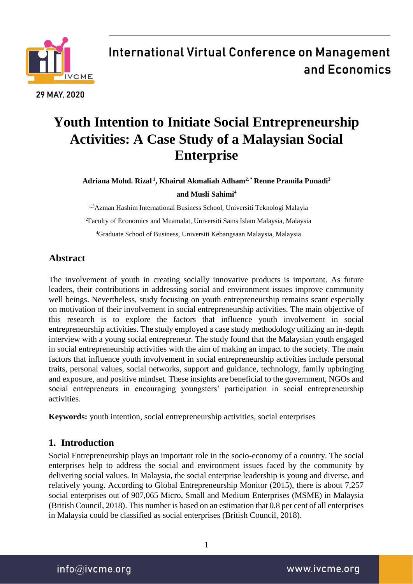

### **Youth Intention to Initiate Social Entrepreneurship Activities: A Case Study of a Malaysian Social Enterprise**

**Adriana Mohd. Rizal <sup>1</sup> , Khairul Akmaliah Adham2, \* Renne Pramila Punadi<sup>3</sup> and Musli Sahimi<sup>4</sup>**

1,3Azman Hashim International Business School, Universiti Teknologi Malayia <sup>2</sup>Faculty of Economics and Muamalat, Universiti Sains Islam Malaysia, Malaysia <sup>4</sup>Graduate School of Business, Universiti Kebangsaan Malaysia, Malaysia

### **Abstract**

The involvement of youth in creating socially innovative products is important. As future leaders, their contributions in addressing social and environment issues improve community well beings. Nevertheless, study focusing on youth entrepreneurship remains scant especially on motivation of their involvement in social entrepreneurship activities. The main objective of this research is to explore the factors that influence youth involvement in social entrepreneurship activities. The study employed a case study methodology utilizing an in-depth interview with a young social entrepreneur. The study found that the Malaysian youth engaged in social entrepreneurship activities with the aim of making an impact to the society. The main factors that influence youth involvement in social entrepreneurship activities include personal traits, personal values, social networks, support and guidance, technology, family upbringing and exposure, and positive mindset. These insights are beneficial to the government, NGOs and social entrepreneurs in encouraging youngsters' participation in social entrepreneurship activities.

**Keywords:** youth intention, social entrepreneurship activities, social enterprises

### **1. Introduction**

Social Entrepreneurship plays an important role in the socio-economy of a country. The social enterprises help to address the social and environment issues faced by the community by delivering social values. In Malaysia, the social enterprise leadership is young and diverse, and relatively young. According to Global Entrepreneurship Monitor (2015), there is about 7,257 social enterprises out of 907,065 Micro, Small and Medium Enterprises (MSME) in Malaysia (British Council, 2018). This number is based on an estimation that 0.8 per cent of all enterprises in Malaysia could be classified as social enterprises (British Council, 2018).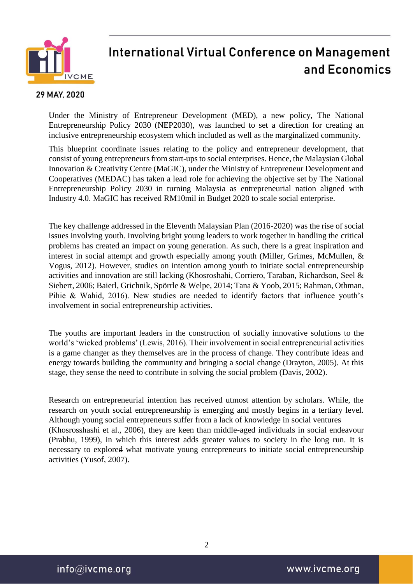

#### 29 MAY, 2020

Under the Ministry of Entrepreneur Development (MED), a new policy, The National Entrepreneurship Policy 2030 (NEP2030), was launched to set a direction for creating an inclusive entrepreneurship ecosystem which included as well as the marginalized community.

This blueprint coordinate issues relating to the policy and entrepreneur development, that consist of young entrepreneurs from start-ups to social enterprises. Hence, the Malaysian Global Innovation & Creativity Centre (MaGIC), under the Ministry of Entrepreneur Development and Cooperatives (MEDAC) has taken a lead role for achieving the objective set by The National Entrepreneurship Policy 2030 in turning Malaysia as entrepreneurial nation aligned with Industry 4.0. MaGIC has received RM10mil in Budget 2020 to scale social enterprise.

The key challenge addressed in the Eleventh Malaysian Plan (2016-2020) was the rise of social issues involving youth. Involving bright young leaders to work together in handling the critical problems has created an impact on young generation. As such, there is a great inspiration and interest in social attempt and growth especially among youth (Miller, Grimes, McMullen, & Vogus, 2012). However, studies on intention among youth to initiate social entrepreneurship activities and innovation are still lacking (Khosroshahi, Corriero, Taraban, Richardson, Seel & Siebert, 2006; Baierl, Grichnik, Spörrle & Welpe, 2014; Tana & Yoob, 2015; Rahman, Othman, Pihie & Wahid, 2016). New studies are needed to identify factors that influence youth's involvement in social entrepreneurship activities.

The youths are important leaders in the construction of socially innovative solutions to the world's 'wicked problems' (Lewis, 2016). Their involvement in social entrepreneurial activities is a game changer as they themselves are in the process of change. They contribute ideas and energy towards building the community and bringing a social change (Drayton, 2005). At this stage, they sense the need to contribute in solving the social problem (Davis, 2002).

Research on entrepreneurial intention has received utmost attention by scholars. While, the research on youth social entrepreneurship is emerging and mostly begins in a tertiary level. Although young social entrepreneurs suffer from a lack of knowledge in social ventures (Khosrosshashi et al., 2006), they are keen than middle-aged individuals in social endeavour (Prabhu, 1999), in which this interest adds greater values to society in the long run. It is necessary to explored what motivate young entrepreneurs to initiate social entrepreneurship activities (Yusof, 2007).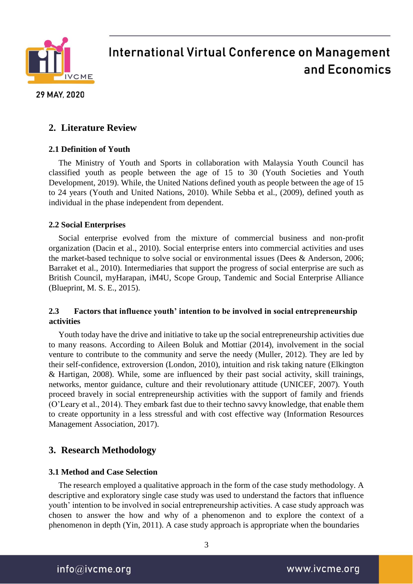

#### 29 MAY, 2020

### **2. Literature Review**

#### **2.1 Definition of Youth**

The Ministry of Youth and Sports in collaboration with Malaysia Youth Council has classified youth as people between the age of 15 to 30 (Youth Societies and Youth Development, 2019). While, the United Nations defined youth as people between the age of 15 to 24 years (Youth and United Nations, 2010). While Sebba et al., (2009), defined youth as individual in the phase independent from dependent.

#### **2.2 Social Enterprises**

Social enterprise evolved from the mixture of commercial business and non-profit organization (Dacin et al., 2010). Social enterprise enters into commercial activities and uses the market-based technique to solve social or environmental issues (Dees & Anderson, 2006; Barraket et al., 2010). Intermediaries that support the progress of social enterprise are such as British Council, myHarapan, iM4U, Scope Group, Tandemic and Social Enterprise Alliance (Blueprint, M. S. E., 2015).

#### **2.3 Factors that influence youth' intention to be involved in social entrepreneurship activities**

Youth today have the drive and initiative to take up the social entrepreneurship activities due to many reasons. According to Aileen Boluk and Mottiar (2014), involvement in the social venture to contribute to the community and serve the needy (Muller, 2012). They are led by their self-confidence, extroversion (London, 2010), intuition and risk taking nature (Elkington & Hartigan, 2008). While, some are influenced by their past social activity, skill trainings, networks, mentor guidance, culture and their revolutionary attitude (UNICEF, 2007). Youth proceed bravely in social entrepreneurship activities with the support of family and friends (O'Leary et al., 2014). They embark fast due to their techno savvy knowledge, that enable them to create opportunity in a less stressful and with cost effective way (Information Resources Management Association, 2017).

### **3. Research Methodology**

#### **3.1 Method and Case Selection**

The research employed a qualitative approach in the form of the case study methodology. A descriptive and exploratory single case study was used to understand the factors that influence youth' intention to be involved in social entrepreneurship activities. A case study approach was chosen to answer the how and why of a phenomenon and to explore the context of a phenomenon in depth (Yin, 2011). A case study approach is appropriate when the boundaries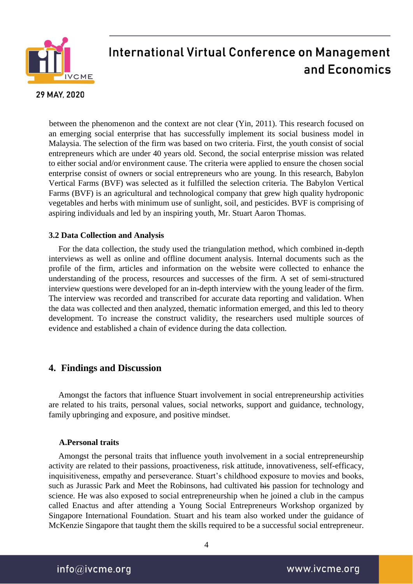

#### 29 MAY, 2020

between the phenomenon and the context are not clear (Yin, 2011). This research focused on an emerging social enterprise that has successfully implement its social business model in Malaysia. The selection of the firm was based on two criteria. First, the youth consist of social entrepreneurs which are under 40 years old. Second, the social enterprise mission was related to either social and/or environment cause. The criteria were applied to ensure the chosen social enterprise consist of owners or social entrepreneurs who are young. In this research, Babylon Vertical Farms (BVF) was selected as it fulfilled the selection criteria. The Babylon Vertical Farms (BVF) is an agricultural and technological company that grew high quality hydroponic vegetables and herbs with minimum use of sunlight, soil, and pesticides. BVF is comprising of aspiring individuals and led by an inspiring youth, Mr. Stuart Aaron Thomas.

#### **3.2 Data Collection and Analysis**

For the data collection, the study used the triangulation method, which combined in-depth interviews as well as online and offline document analysis. Internal documents such as the profile of the firm, articles and information on the website were collected to enhance the understanding of the process, resources and successes of the firm. A set of semi-structured interview questions were developed for an in-depth interview with the young leader of the firm. The interview was recorded and transcribed for accurate data reporting and validation. When the data was collected and then analyzed, thematic information emerged, and this led to theory development. To increase the construct validity, the researchers used multiple sources of evidence and established a chain of evidence during the data collection.

### **4. Findings and Discussion**

Amongst the factors that influence Stuart involvement in social entrepreneurship activities are related to his traits, personal values, social networks, support and guidance, technology, family upbringing and exposure, and positive mindset.

#### **A.Personal traits**

Amongst the personal traits that influence youth involvement in a social entrepreneurship activity are related to their passions, proactiveness, risk attitude, innovativeness, self-efficacy, inquisitiveness, empathy and perseverance. Stuart's childhood exposure to movies and books, such as Jurassic Park and Meet the Robinsons, had cultivated his passion for technology and science. He was also exposed to social entrepreneurship when he joined a club in the campus called Enactus and after attending a Young Social Entrepreneurs Workshop organized by Singapore International Foundation. Stuart and his team also worked under the guidance of McKenzie Singapore that taught them the skills required to be a successful social entrepreneur.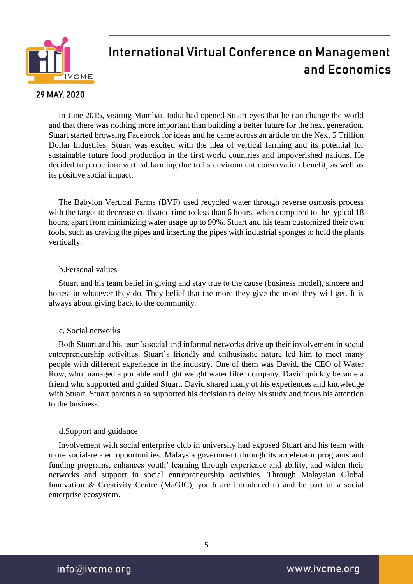

#### 29 MAY, 2020

In June 2015, visiting Mumbai, India had opened Stuart eyes that he can change the world and that there was nothing more important than building a better future for the next generation. Stuart started browsing Facebook for ideas and he came across an article on the Next 5 Trillion Dollar Industries. Stuart was excited with the idea of vertical farming and its potential for sustainable future food production in the first world countries and impoverished nations. He decided to probe into vertical farming due to its environment conservation benefit, as well as its positive social impact.

The Babylon Vertical Farms (BVF) used recycled water through reverse osmosis process with the target to decrease cultivated time to less than 6 hours, when compared to the typical 18 hours, apart from minimizing water usage up to 90%. Stuart and his team customized their own tools, such as craving the pipes and inserting the pipes with industrial sponges to hold the plants vertically.

#### b.Personal values

Stuart and his team belief in giving and stay true to the cause (business model), sincere and honest in whatever they do. They belief that the more they give the more they will get. It is always about giving back to the community.

#### c. Social networks

Both Stuart and his team's social and informal networks drive up their involvement in social entrepreneurship activities. Stuart's friendly and enthusiastic nature led him to meet many people with different experience in the industry. One of them was David, the CEO of Water Row, who managed a portable and light weight water filter company. David quickly became a friend who supported and guided Stuart. David shared many of his experiences and knowledge with Stuart. Stuart parents also supported his decision to delay his study and focus his attention to the business.

#### d.Support and guidance

Involvement with social enterprise club in university had exposed Stuart and his team with more social-related opportunities. Malaysia government through its accelerator programs and funding programs, enhances youth' learning through experience and ability, and widen their networks and support in social entrepreneurship activities. Through Malaysian Global Innovation & Creativity Centre (MaGIC), youth are introduced to and be part of a social enterprise ecosystem.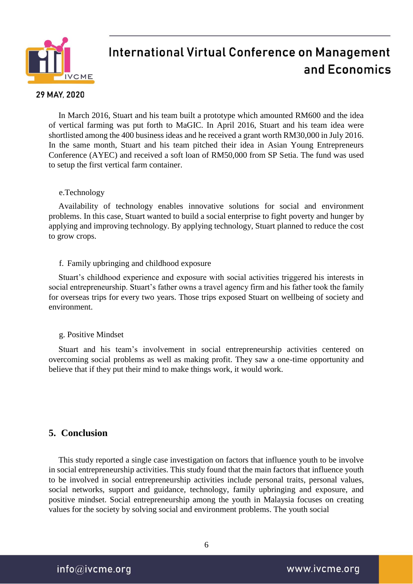

#### 29 MAY, 2020

In March 2016, Stuart and his team built a prototype which amounted RM600 and the idea of vertical farming was put forth to MaGIC. In April 2016, Stuart and his team idea were shortlisted among the 400 business ideas and he received a grant worth RM30,000 in July 2016. In the same month, Stuart and his team pitched their idea in Asian Young Entrepreneurs Conference (AYEC) and received a soft loan of RM50,000 from SP Setia. The fund was used to setup the first vertical farm container.

#### e.Technology

Availability of technology enables innovative solutions for social and environment problems. In this case, Stuart wanted to build a social enterprise to fight poverty and hunger by applying and improving technology. By applying technology, Stuart planned to reduce the cost to grow crops.

#### f. Family upbringing and childhood exposure

Stuart's childhood experience and exposure with social activities triggered his interests in social entrepreneurship. Stuart's father owns a travel agency firm and his father took the family for overseas trips for every two years. Those trips exposed Stuart on wellbeing of society and environment.

#### g. Positive Mindset

Stuart and his team's involvement in social entrepreneurship activities centered on overcoming social problems as well as making profit. They saw a one-time opportunity and believe that if they put their mind to make things work, it would work.

### **5. Conclusion**

This study reported a single case investigation on factors that influence youth to be involve in social entrepreneurship activities. This study found that the main factors that influence youth to be involved in social entrepreneurship activities include personal traits, personal values, social networks, support and guidance, technology, family upbringing and exposure, and positive mindset. Social entrepreneurship among the youth in Malaysia focuses on creating values for the society by solving social and environment problems. The youth social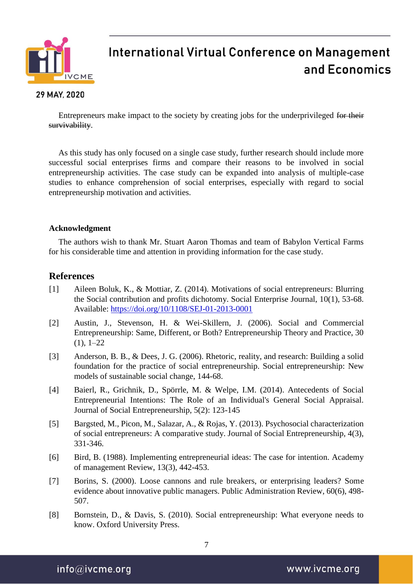

#### 29 MAY, 2020

Entrepreneurs make impact to the society by creating jobs for the underprivileged for their survivability.

As this study has only focused on a single case study, further research should include more successful social enterprises firms and compare their reasons to be involved in social entrepreneurship activities. The case study can be expanded into analysis of multiple-case studies to enhance comprehension of social enterprises, especially with regard to social entrepreneurship motivation and activities.

#### **Acknowledgment**

The authors wish to thank Mr. Stuart Aaron Thomas and team of Babylon Vertical Farms for his considerable time and attention in providing information for the case study.

### **References**

- [1] Aileen Boluk, K., & Mottiar, Z. (2014). Motivations of social entrepreneurs: Blurring the Social contribution and profits dichotomy. Social Enterprise Journal, 10(1), 53-68. Available: https://doi.org/10/1108/SEJ-01-2013-0001
- [2] Austin, J., Stevenson, H. & Wei-Skillern, J. (2006). Social and Commercial Entrepreneurship: Same, Different, or Both? Entrepreneurship Theory and Practice, 30  $(1), 1-22$
- [3] Anderson, B. B., & Dees, J. G. (2006). Rhetoric, reality, and research: Building a solid foundation for the practice of social entrepreneurship. Social entrepreneurship: New models of sustainable social change, 144-68.
- [4] Baierl, R., Grichnik, D., Spörrle, M. & Welpe, I.M. (2014). Antecedents of Social Entrepreneurial Intentions: The Role of an Individual's General Social Appraisal. Journal of Social Entrepreneurship, 5(2): 123-145
- [5] Bargsted, M., Picon, M., Salazar, A., & Rojas, Y. (2013). Psychosocial characterization of social entrepreneurs: A comparative study. Journal of Social Entrepreneurship, 4(3), 331-346.
- [6] Bird, B. (1988). Implementing entrepreneurial ideas: The case for intention. Academy of management Review, 13(3), 442-453.
- [7] Borins, S. (2000). Loose cannons and rule breakers, or enterprising leaders? Some evidence about innovative public managers. Public Administration Review, 60(6), 498- 507.
- [8] Bornstein, D., & Davis, S. (2010). Social entrepreneurship: What everyone needs to know. Oxford University Press.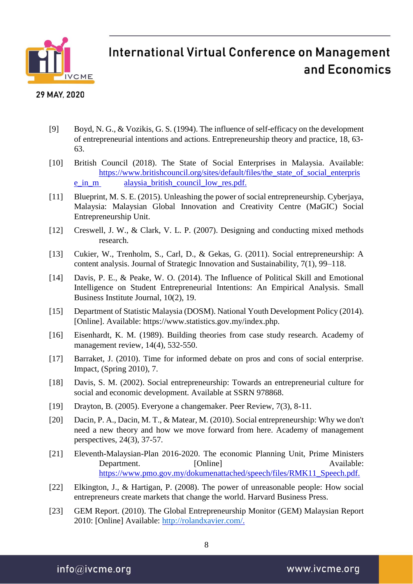

#### 29 MAY, 2020

- [9] Boyd, N. G., & Vozikis, G. S. (1994). The influence of self-efficacy on the development of entrepreneurial intentions and actions. Entrepreneurship theory and practice, 18, 63- 63.
- [10] British Council (2018). The State of Social Enterprises in Malaysia. Available: [https://www.britishcouncil.org/sites/default/files/the\\_state\\_of\\_social\\_enterpris](https://www.britishcouncil.org/sites/default/files/the_state_of_social_enterprise_in_m) [e\\_in\\_m](https://www.britishcouncil.org/sites/default/files/the_state_of_social_enterprise_in_m) alaysia\_british\_council\_low\_res.pdf.
- [11] Blueprint, M. S. E. (2015). Unleashing the power of social entrepreneurship. Cyberjaya, Malaysia: Malaysian Global Innovation and Creativity Centre (MaGIC) Social Entrepreneurship Unit.
- [12] Creswell, J. W., & Clark, V. L. P. (2007). Designing and conducting mixed methods research.
- [13] Cukier, W., Trenholm, S., Carl, D., & Gekas, G. (2011). Social entrepreneurship: A content analysis. Journal of Strategic Innovation and Sustainability, 7(1), 99–118.
- [14] Davis, P. E., & Peake, W. O. (2014). The Influence of Political Skill and Emotional Intelligence on Student Entrepreneurial Intentions: An Empirical Analysis. Small Business Institute Journal, 10(2), 19.
- [15] Department of Statistic Malaysia (DOSM). National Youth Development Policy (2014). [Online]. Available: https://www.statistics.gov.my/index.php.
- [16] Eisenhardt, K. M. (1989). Building theories from case study research. Academy of management review, 14(4), 532-550.
- [17] Barraket, J. (2010). Time for informed debate on pros and cons of social enterprise. Impact, (Spring 2010), 7.
- [18] Davis, S. M. (2002). Social entrepreneurship: Towards an entrepreneurial culture for social and economic development. Available at SSRN 978868.
- [19] Drayton, B. (2005). Everyone a changemaker. Peer Review, 7(3), 8-11.
- [20] Dacin, P. A., Dacin, M. T., & Matear, M. (2010). Social entrepreneurship: Why we don't need a new theory and how we move forward from here. Academy of management perspectives, 24(3), 37-57.
- [21] Eleventh-Malaysian-Plan 2016-2020. The economic Planning Unit, Prime Ministers Department. [Online] Available: https://www.pmo.gov.my/dokumenattached/speech/files/RMK11\_Speech.pdf.
- [22] Elkington, J., & Hartigan, P. (2008). The power of unreasonable people: How social entrepreneurs create markets that change the world. Harvard Business Press.
- [23] GEM Report. (2010). The Global Entrepreneurship Monitor (GEM) Malaysian Report 2010: [Online] Available: [http://rolandxavier.com/.](http://rolandxavier.com/)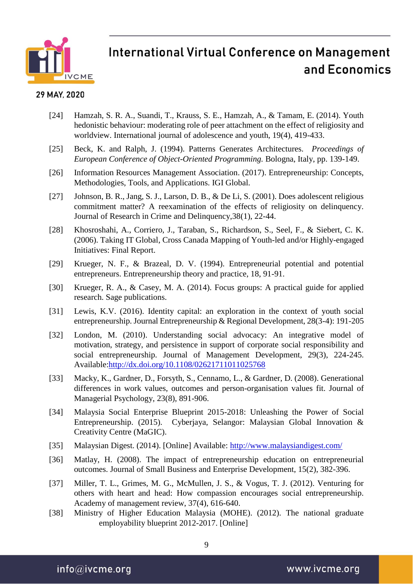

#### 29 MAY, 2020

- [24] Hamzah, S. R. A., Suandi, T., Krauss, S. E., Hamzah, A., & Tamam, E. (2014). Youth hedonistic behaviour: moderating role of peer attachment on the effect of religiosity and worldview. International journal of adolescence and youth, 19(4), 419-433.
- [25] Beck, K. and Ralph, J. (1994). Patterns Generates Architectures. *Proceedings of European Conference of Object-Oriented Programming.* Bologna, Italy, pp. 139-149.
- [26] Information Resources Management Association. (2017). Entrepreneurship: Concepts, Methodologies, Tools, and Applications. IGI Global.
- [27] Johnson, B. R., Jang, S. J., Larson, D. B., & De Li, S. (2001). Does adolescent religious commitment matter? A reexamination of the effects of religiosity on delinquency. Journal of Research in Crime and Delinquency,38(1), 22-44.
- [28] Khosroshahi, A., Corriero, J., Taraban, S., Richardson, S., Seel, F., & Siebert, C. K. (2006). Taking IT Global, Cross Canada Mapping of Youth-led and/or Highly-engaged Initiatives: Final Report.
- [29] Krueger, N. F., & Brazeal, D. V. (1994). Entrepreneurial potential and potential entrepreneurs. Entrepreneurship theory and practice, 18, 91-91.
- [30] Krueger, R. A., & Casey, M. A. (2014). Focus groups: A practical guide for applied research. Sage publications.
- [31] Lewis, K.V. (2016). Identity capital: an exploration in the context of youth social entrepreneurship. Journal Entrepreneurship & Regional Development, 28(3-4): 191-205
- [32] London, M. (2010). Understanding social advocacy: An integrative model of motivation, strategy, and persistence in support of corporate social responsibility and social entrepreneurship. Journal of Management Development, 29(3), 224-245. Available:http://dx.doi.org/10.1108/02621711011025768
- [33] Macky, K., Gardner, D., Forsyth, S., Cennamo, L., & Gardner, D. (2008). Generational differences in work values, outcomes and person-organisation values fit. Journal of Managerial Psychology, 23(8), 891-906.
- [34] Malaysia Social Enterprise Blueprint 2015-2018: Unleashing the Power of Social Entrepreneurship. (2015). Cyberjaya, Selangor: Malaysian Global Innovation & Creativity Centre (MaGIC).
- [35] Malaysian Digest. (2014). [Online] Available: http://www.malaysiandigest.com/
- [36] Matlay, H. (2008). The impact of entrepreneurship education on entrepreneurial outcomes. Journal of Small Business and Enterprise Development, 15(2), 382-396.
- [37] Miller, T. L., Grimes, M. G., McMullen, J. S., & Vogus, T. J. (2012). Venturing for others with heart and head: How compassion encourages social entrepreneurship. Academy of management review, 37(4), 616-640.
- [38] Ministry of Higher Education Malaysia (MOHE). (2012). The national graduate employability blueprint 2012-2017. [Online]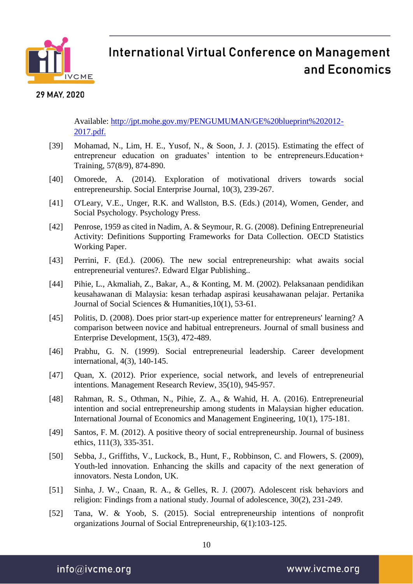

#### 29 MAY, 2020

Available: http://jpt.mohe.gov.my/PENGUMUMAN/GE%20blueprint%202012- 2017.pdf.

- [39] Mohamad, N., Lim, H. E., Yusof, N., & Soon, J. J. (2015). Estimating the effect of entrepreneur education on graduates' intention to be entrepreneurs. Education+ Training, 57(8/9), 874-890.
- [40] Omorede, A. (2014). Exploration of motivational drivers towards social entrepreneurship. Social Enterprise Journal, 10(3), 239-267.
- [41] O'Leary, V.E., Unger, R.K. and Wallston, B.S. (Eds.) (2014), Women, Gender, and Social Psychology. Psychology Press.
- [42] Penrose, 1959 as cited in Nadim, A. & Seymour, R. G. (2008). Defining Entrepreneurial Activity: Definitions Supporting Frameworks for Data Collection. OECD Statistics Working Paper.
- [43] Perrini, F. (Ed.). (2006). The new social entrepreneurship: what awaits social entrepreneurial ventures?. Edward Elgar Publishing..
- [44] Pihie, L., Akmaliah, Z., Bakar, A., & Konting, M. M. (2002). Pelaksanaan pendidikan keusahawanan di Malaysia: kesan terhadap aspirasi keusahawanan pelajar. Pertanika Journal of Social Sciences & Humanities,10(1), 53-61.
- [45] Politis, D. (2008). Does prior start-up experience matter for entrepreneurs' learning? A comparison between novice and habitual entrepreneurs. Journal of small business and Enterprise Development, 15(3), 472-489.
- [46] Prabhu, G. N. (1999). Social entrepreneurial leadership. Career development international, 4(3), 140-145.
- [47] Quan, X. (2012). Prior experience, social network, and levels of entrepreneurial intentions. Management Research Review, 35(10), 945-957.
- [48] Rahman, R. S., Othman, N., Pihie, Z. A., & Wahid, H. A. (2016). Entrepreneurial intention and social entrepreneurship among students in Malaysian higher education. International Journal of Economics and Management Engineering, 10(1), 175-181.
- [49] Santos, F. M. (2012). A positive theory of social entrepreneurship. Journal of business ethics, 111(3), 335-351.
- [50] Sebba, J., Griffiths, V., Luckock, B., Hunt, F., Robbinson, C. and Flowers, S. (2009), Youth-led innovation. Enhancing the skills and capacity of the next generation of innovators. Nesta London, UK.
- [51] Sinha, J. W., Cnaan, R. A., & Gelles, R. J. (2007). Adolescent risk behaviors and religion: Findings from a national study. Journal of adolescence, 30(2), 231-249.
- [52] Tana, W. & Yoob, S. (2015). Social entrepreneurship intentions of nonprofit organizations Journal of Social Entrepreneurship, 6(1):103-125.

 $info@$ ivcme.org